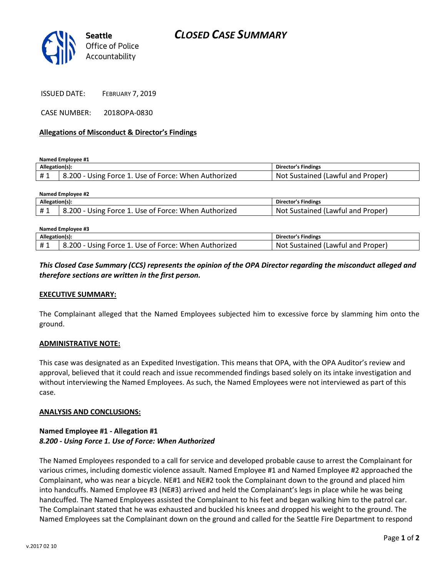

CASE NUMBER: 2018OPA-0830

#### **Allegations of Misconduct & Director's Findings**

**Named Employee #1**

| Allegation(s): |                                                                   | Director's Findings               |
|----------------|-------------------------------------------------------------------|-----------------------------------|
| #1             | <sup>1</sup> 8.200 - Using Force 1. Use of Force: When Authorized | Not Sustained (Lawful and Proper) |

| Named Employee #2 |                                                                   |                                   |  |  |
|-------------------|-------------------------------------------------------------------|-----------------------------------|--|--|
| Allegation(s):    |                                                                   | Director's Findings               |  |  |
| #1                | <sup>1</sup> 8.200 - Using Force 1. Use of Force: When Authorized | Not Sustained (Lawful and Proper) |  |  |
|                   |                                                                   |                                   |  |  |

| Named Employee #3 |                                                      |                                   |  |
|-------------------|------------------------------------------------------|-----------------------------------|--|
| Allegation(s):    |                                                      | Director's Findings               |  |
| #1                | 8.200 - Using Force 1. Use of Force: When Authorized | Not Sustained (Lawful and Proper) |  |

## *This Closed Case Summary (CCS) represents the opinion of the OPA Director regarding the misconduct alleged and therefore sections are written in the first person.*

#### **EXECUTIVE SUMMARY:**

The Complainant alleged that the Named Employees subjected him to excessive force by slamming him onto the ground.

### **ADMINISTRATIVE NOTE:**

This case was designated as an Expedited Investigation. This means that OPA, with the OPA Auditor's review and approval, believed that it could reach and issue recommended findings based solely on its intake investigation and without interviewing the Named Employees. As such, the Named Employees were not interviewed as part of this case.

#### **ANALYSIS AND CONCLUSIONS:**

## **Named Employee #1 - Allegation #1** *8.200 - Using Force 1. Use of Force: When Authorized*

The Named Employees responded to a call for service and developed probable cause to arrest the Complainant for various crimes, including domestic violence assault. Named Employee #1 and Named Employee #2 approached the Complainant, who was near a bicycle. NE#1 and NE#2 took the Complainant down to the ground and placed him into handcuffs. Named Employee #3 (NE#3) arrived and held the Complainant's legs in place while he was being handcuffed. The Named Employees assisted the Complainant to his feet and began walking him to the patrol car. The Complainant stated that he was exhausted and buckled his knees and dropped his weight to the ground. The Named Employees sat the Complainant down on the ground and called for the Seattle Fire Department to respond